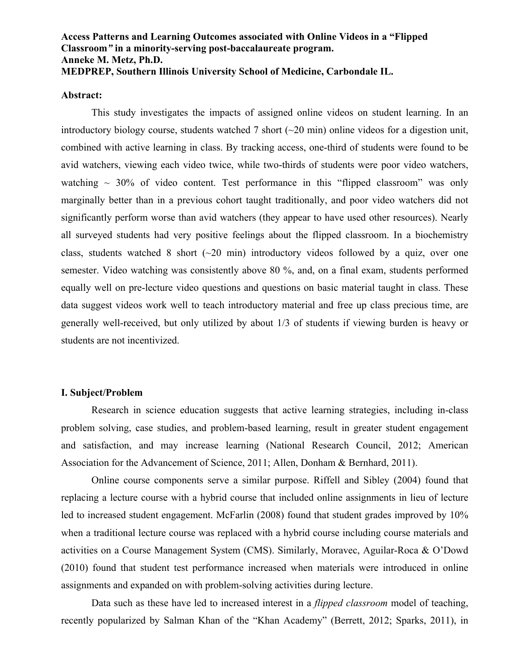# **Access Patterns and Learning Outcomes associated with Online Videos in a "Flipped Classroom***"* **in a minority-serving post-baccalaureate program. Anneke M. Metz, Ph.D. MEDPREP, Southern Illinois University School of Medicine, Carbondale IL.**

### **Abstract:**

This study investigates the impacts of assigned online videos on student learning. In an introductory biology course, students watched 7 short  $(\sim 20 \text{ min})$  online videos for a digestion unit, combined with active learning in class. By tracking access, one-third of students were found to be avid watchers, viewing each video twice, while two-thirds of students were poor video watchers, watching  $\sim$  30% of video content. Test performance in this "flipped classroom" was only marginally better than in a previous cohort taught traditionally, and poor video watchers did not significantly perform worse than avid watchers (they appear to have used other resources). Nearly all surveyed students had very positive feelings about the flipped classroom. In a biochemistry class, students watched 8 short  $(\sim 20 \text{ min})$  introductory videos followed by a quiz, over one semester. Video watching was consistently above 80 %, and, on a final exam, students performed equally well on pre-lecture video questions and questions on basic material taught in class. These data suggest videos work well to teach introductory material and free up class precious time, are generally well-received, but only utilized by about 1/3 of students if viewing burden is heavy or students are not incentivized.

#### **I. Subject/Problem**

Research in science education suggests that active learning strategies, including in-class problem solving, case studies, and problem-based learning, result in greater student engagement and satisfaction, and may increase learning (National Research Council, 2012; American Association for the Advancement of Science, 2011; Allen, Donham & Bernhard, 2011).

Online course components serve a similar purpose. Riffell and Sibley (2004) found that replacing a lecture course with a hybrid course that included online assignments in lieu of lecture led to increased student engagement. McFarlin (2008) found that student grades improved by 10% when a traditional lecture course was replaced with a hybrid course including course materials and activities on a Course Management System (CMS). Similarly, Moravec, Aguilar-Roca & O'Dowd (2010) found that student test performance increased when materials were introduced in online assignments and expanded on with problem-solving activities during lecture.

Data such as these have led to increased interest in a *flipped classroom* model of teaching, recently popularized by Salman Khan of the "Khan Academy" (Berrett, 2012; Sparks, 2011), in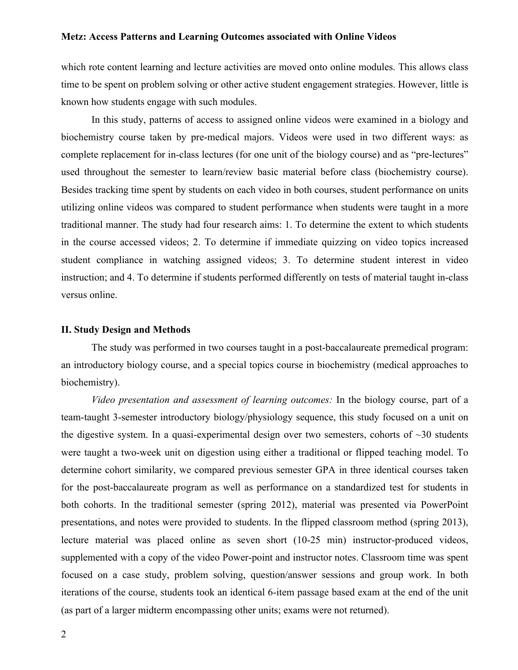which rote content learning and lecture activities are moved onto online modules. This allows class time to be spent on problem solving or other active student engagement strategies. However, little is known how students engage with such modules.

In this study, patterns of access to assigned online videos were examined in a biology and biochemistry course taken by pre-medical majors. Videos were used in two different ways: as complete replacement for in-class lectures (for one unit of the biology course) and as "pre-lectures" used throughout the semester to learn/review basic material before class (biochemistry course). Besides tracking time spent by students on each video in both courses, student performance on units utilizing online videos was compared to student performance when students were taught in a more traditional manner. The study had four research aims: 1. To determine the extent to which students in the course accessed videos; 2. To determine if immediate quizzing on video topics increased student compliance in watching assigned videos; 3. To determine student interest in video instruction; and 4. To determine if students performed differently on tests of material taught in-class versus online.

#### **II. Study Design and Methods**

The study was performed in two courses taught in a post-baccalaureate premedical program: an introductory biology course, and a special topics course in biochemistry (medical approaches to biochemistry).

*Video presentation and assessment of learning outcomes:* In the biology course, part of a team-taught 3-semester introductory biology/physiology sequence, this study focused on a unit on the digestive system. In a quasi-experimental design over two semesters, cohorts of  $\sim$ 30 students were taught a two-week unit on digestion using either a traditional or flipped teaching model. To determine cohort similarity, we compared previous semester GPA in three identical courses taken for the post-baccalaureate program as well as performance on a standardized test for students in both cohorts. In the traditional semester (spring 2012), material was presented via PowerPoint presentations, and notes were provided to students. In the flipped classroom method (spring 2013), lecture material was placed online as seven short (10-25 min) instructor-produced videos, supplemented with a copy of the video Power-point and instructor notes. Classroom time was spent focused on a case study, problem solving, question/answer sessions and group work. In both iterations of the course, students took an identical 6-item passage based exam at the end of the unit (as part of a larger midterm encompassing other units; exams were not returned).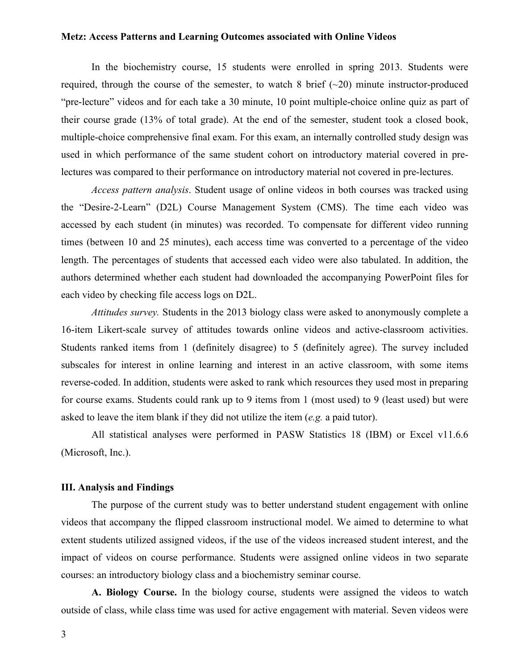In the biochemistry course, 15 students were enrolled in spring 2013. Students were required, through the course of the semester, to watch 8 brief  $(\sim 20)$  minute instructor-produced "pre-lecture" videos and for each take a 30 minute, 10 point multiple-choice online quiz as part of their course grade (13% of total grade). At the end of the semester, student took a closed book, multiple-choice comprehensive final exam. For this exam, an internally controlled study design was used in which performance of the same student cohort on introductory material covered in prelectures was compared to their performance on introductory material not covered in pre-lectures.

*Access pattern analysis*. Student usage of online videos in both courses was tracked using the "Desire-2-Learn" (D2L) Course Management System (CMS). The time each video was accessed by each student (in minutes) was recorded. To compensate for different video running times (between 10 and 25 minutes), each access time was converted to a percentage of the video length. The percentages of students that accessed each video were also tabulated. In addition, the authors determined whether each student had downloaded the accompanying PowerPoint files for each video by checking file access logs on D2L.

*Attitudes survey.* Students in the 2013 biology class were asked to anonymously complete a 16-item Likert-scale survey of attitudes towards online videos and active-classroom activities. Students ranked items from 1 (definitely disagree) to 5 (definitely agree). The survey included subscales for interest in online learning and interest in an active classroom, with some items reverse-coded. In addition, students were asked to rank which resources they used most in preparing for course exams. Students could rank up to 9 items from 1 (most used) to 9 (least used) but were asked to leave the item blank if they did not utilize the item (*e.g.* a paid tutor).

All statistical analyses were performed in PASW Statistics 18 (IBM) or Excel v11.6.6 (Microsoft, Inc.).

### **III. Analysis and Findings**

The purpose of the current study was to better understand student engagement with online videos that accompany the flipped classroom instructional model. We aimed to determine to what extent students utilized assigned videos, if the use of the videos increased student interest, and the impact of videos on course performance. Students were assigned online videos in two separate courses: an introductory biology class and a biochemistry seminar course.

**A. Biology Course.** In the biology course, students were assigned the videos to watch outside of class, while class time was used for active engagement with material. Seven videos were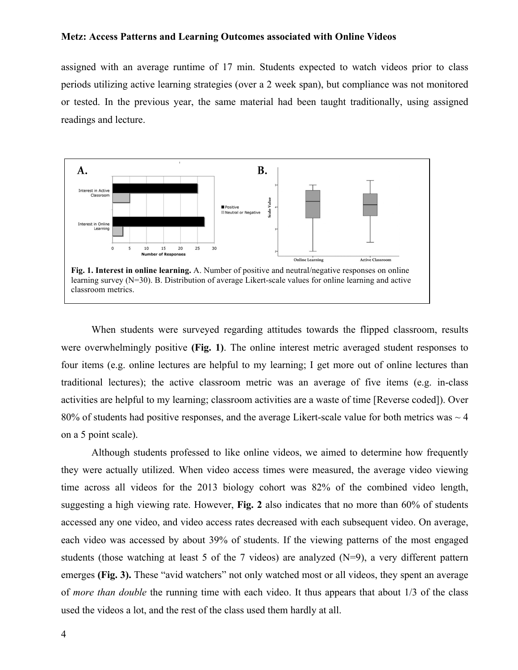assigned with an average runtime of 17 min. Students expected to watch videos prior to class periods utilizing active learning strategies (over a 2 week span), but compliance was not monitored or tested. In the previous year, the same material had been taught traditionally, using assigned readings and lecture.



When students were surveyed regarding attitudes towards the flipped classroom, results were overwhelmingly positive **(Fig. 1)**. The online interest metric averaged student responses to four items (e.g. online lectures are helpful to my learning; I get more out of online lectures than traditional lectures); the active classroom metric was an average of five items (e.g. in-class activities are helpful to my learning; classroom activities are a waste of time [Reverse coded]). Over 80% of students had positive responses, and the average Likert-scale value for both metrics was  $\sim$  4 on a 5 point scale).

Although students professed to like online videos, we aimed to determine how frequently they were actually utilized. When video access times were measured, the average video viewing time across all videos for the 2013 biology cohort was 82% of the combined video length, suggesting a high viewing rate. However, **Fig. 2** also indicates that no more than 60% of students accessed any one video, and video access rates decreased with each subsequent video. On average, each video was accessed by about 39% of students. If the viewing patterns of the most engaged students (those watching at least 5 of the 7 videos) are analyzed (N=9), a very different pattern emerges **(Fig. 3).** These "avid watchers" not only watched most or all videos, they spent an average of *more than double* the running time with each video. It thus appears that about 1/3 of the class used the videos a lot, and the rest of the class used them hardly at all.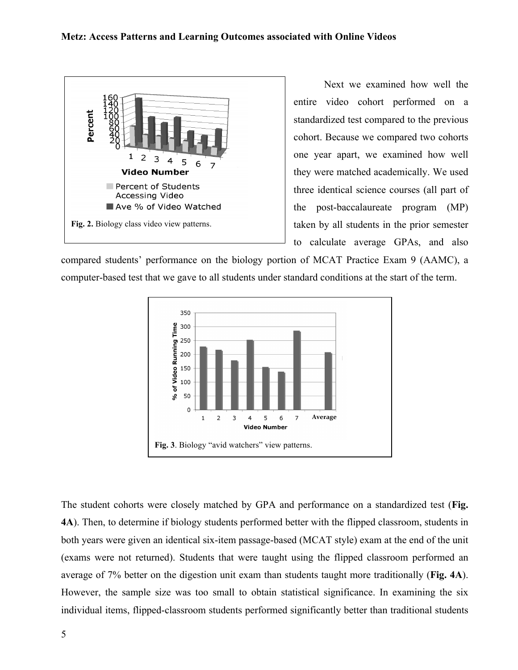

Next we examined how well the entire video cohort performed on a standardized test compared to the previous cohort. Because we compared two cohorts one year apart, we examined how well they were matched academically. We used three identical science courses (all part of the post-baccalaureate program (MP) taken by all students in the prior semester to calculate average GPAs, and also

compared students' performance on the biology portion of MCAT Practice Exam 9 (AAMC), a computer-based test that we gave to all students under standard conditions at the start of the term.



The student cohorts were closely matched by GPA and performance on a standardized test (**Fig. 4A**). Then, to determine if biology students performed better with the flipped classroom, students in both years were given an identical six-item passage-based (MCAT style) exam at the end of the unit (exams were not returned). Students that were taught using the flipped classroom performed an average of 7% better on the digestion unit exam than students taught more traditionally (**Fig. 4A**). However, the sample size was too small to obtain statistical significance. In examining the six individual items, flipped-classroom students performed significantly better than traditional students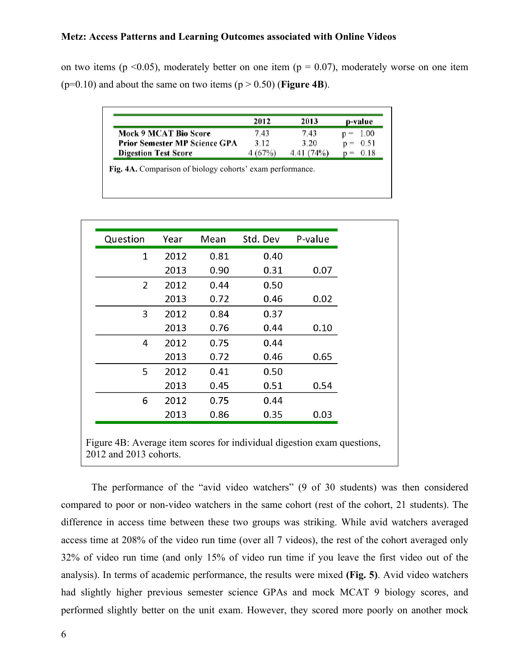on two items ( $p \le 0.05$ ), moderately better on one item ( $p = 0.07$ ), moderately worse on one item ( $p=0.10$ ) and about the same on two items ( $p > 0.50$ ) (**Figure 4B**).

|                                      | 2012    | 2013      | p-value       |
|--------------------------------------|---------|-----------|---------------|
| Mock 9 MCAT Bio Score                | 7.43    | 7.43      | $p = 1,00$    |
| <b>Prior Semester MP Science GPA</b> | 3.12    | 3.20      | 0.51<br>$n =$ |
| <b>Digestion Test Score</b>          | 4 (67%) | 4.41(74%) | 0.18          |

**Fig. 4A.** Comparison of biology cohorts' exam performance.

| Question       | Year | Mean | Std. Dev | P-value |
|----------------|------|------|----------|---------|
| 1              | 2012 | 0.81 | 0.40     |         |
|                | 2013 | 0.90 | 0.31     | 0.07    |
| $\overline{2}$ | 2012 | 0.44 | 0.50     |         |
|                | 2013 | 0.72 | 0.46     | 0.02    |
| 3              | 2012 | 0.84 | 0.37     |         |
|                | 2013 | 0.76 | 0.44     | 0.10    |
| 4              | 2012 | 0.75 | 0.44     |         |
|                | 2013 | 0.72 | 0.46     | 0.65    |
| 5              | 2012 | 0.41 | 0.50     |         |
|                | 2013 | 0.45 | 0.51     | 0.54    |
| 6              | 2012 | 0.75 | 0.44     |         |
|                | 2013 | 0.86 | 0.35     | 0.03    |

Figure 4B: Average item scores for individual digestion exam questions, 2012 and 2013 cohorts.

The performance of the "avid video watchers" (9 of 30 students) was then considered compared to poor or non-video watchers in the same cohort (rest of the cohort, 21 students). The difference in access time between these two groups was striking. While avid watchers averaged access time at 208% of the video run time (over all 7 videos), the rest of the cohort averaged only 32% of video run time (and only 15% of video run time if you leave the first video out of the analysis). In terms of academic performance, the results were mixed **(Fig. 5)**. Avid video watchers had slightly higher previous semester science GPAs and mock MCAT 9 biology scores, and performed slightly better on the unit exam. However, they scored more poorly on another mock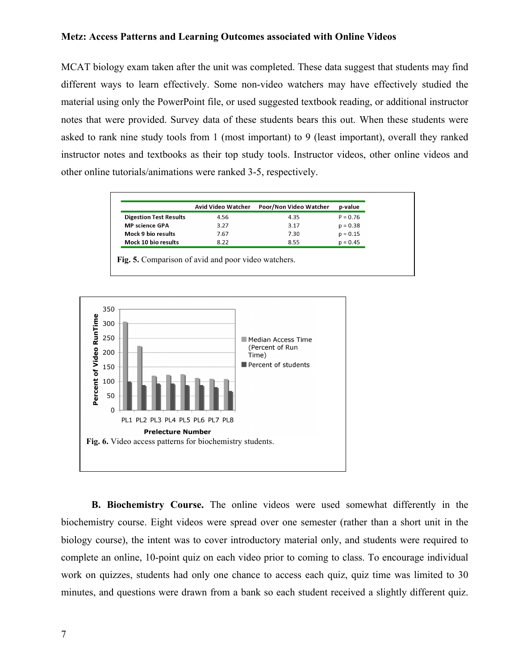MCAT biology exam taken after the unit was completed. These data suggest that students may find different ways to learn effectively. Some non-video watchers may have effectively studied the material using only the PowerPoint file, or used suggested textbook reading, or additional instructor notes that were provided. Survey data of these students bears this out. When these students were asked to rank nine study tools from 1 (most important) to 9 (least important), overall they ranked instructor notes and textbooks as their top study tools. Instructor videos, other online videos and other online tutorials/animations were ranked 3-5, respectively.

|                               | Avid Video Watcher | Poor/Non Video Watcher | p-value    |
|-------------------------------|--------------------|------------------------|------------|
| <b>Digestion Test Results</b> | 4.56               | 4.35                   | $P = 0.76$ |
| <b>MP</b> science GPA         | 3.27               | 3.17                   | $p = 0.38$ |
| Mock 9 bio results            | 7.67               | 7.30                   | $p = 0.15$ |
| Mock 10 bio results           | 8.22               | 8.55                   | $p = 0.45$ |

**Fig. 5.** Comparison of avid and poor video watchers.



**B. Biochemistry Course.** The online videos were used somewhat differently in the biochemistry course. Eight videos were spread over one semester (rather than a short unit in the biology course), the intent was to cover introductory material only, and students were required to complete an online, 10-point quiz on each video prior to coming to class. To encourage individual work on quizzes, students had only one chance to access each quiz, quiz time was limited to 30 minutes, and questions were drawn from a bank so each student received a slightly different quiz.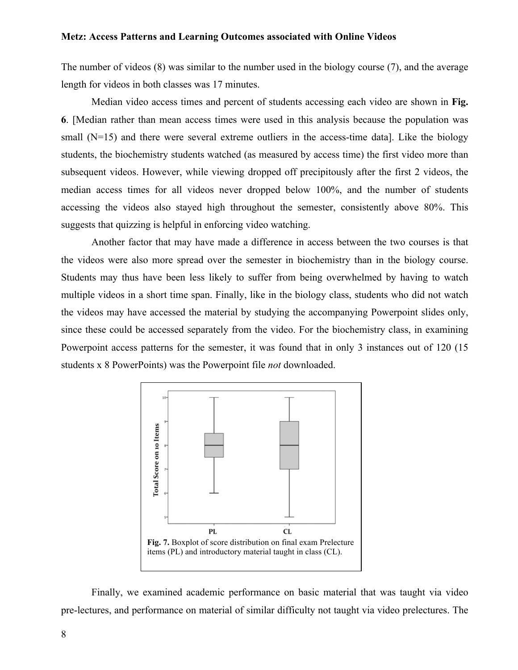The number of videos (8) was similar to the number used in the biology course (7), and the average length for videos in both classes was 17 minutes.

Median video access times and percent of students accessing each video are shown in **Fig. 6**. [Median rather than mean access times were used in this analysis because the population was small  $(N=15)$  and there were several extreme outliers in the access-time data). Like the biology students, the biochemistry students watched (as measured by access time) the first video more than subsequent videos. However, while viewing dropped off precipitously after the first 2 videos, the median access times for all videos never dropped below 100%, and the number of students accessing the videos also stayed high throughout the semester, consistently above 80%. This suggests that quizzing is helpful in enforcing video watching.

Another factor that may have made a difference in access between the two courses is that the videos were also more spread over the semester in biochemistry than in the biology course. Students may thus have been less likely to suffer from being overwhelmed by having to watch multiple videos in a short time span. Finally, like in the biology class, students who did not watch the videos may have accessed the material by studying the accompanying Powerpoint slides only, since these could be accessed separately from the video. For the biochemistry class, in examining Powerpoint access patterns for the semester, it was found that in only 3 instances out of 120 (15 students x 8 PowerPoints) was the Powerpoint file *not* downloaded.



Finally, we examined academic performance on basic material that was taught via video pre-lectures, and performance on material of similar difficulty not taught via video prelectures. The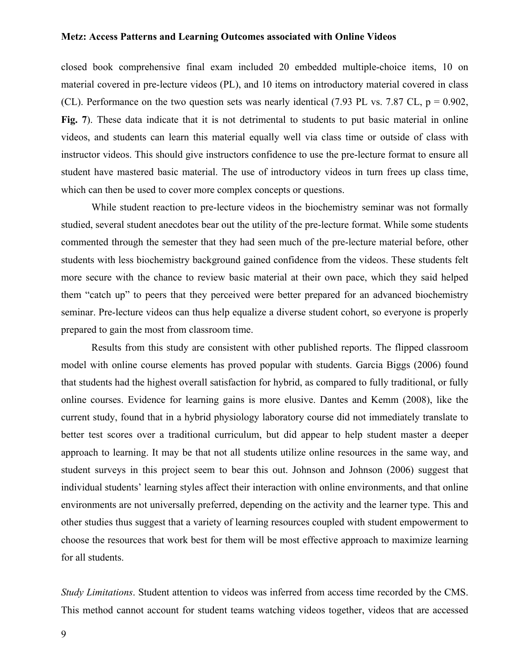closed book comprehensive final exam included 20 embedded multiple-choice items, 10 on material covered in pre-lecture videos (PL), and 10 items on introductory material covered in class (CL). Performance on the two question sets was nearly identical (7.93 PL vs. 7.87 CL,  $p = 0.902$ , **Fig. 7**). These data indicate that it is not detrimental to students to put basic material in online videos, and students can learn this material equally well via class time or outside of class with instructor videos. This should give instructors confidence to use the pre-lecture format to ensure all student have mastered basic material. The use of introductory videos in turn frees up class time, which can then be used to cover more complex concepts or questions.

While student reaction to pre-lecture videos in the biochemistry seminar was not formally studied, several student anecdotes bear out the utility of the pre-lecture format. While some students commented through the semester that they had seen much of the pre-lecture material before, other students with less biochemistry background gained confidence from the videos. These students felt more secure with the chance to review basic material at their own pace, which they said helped them "catch up" to peers that they perceived were better prepared for an advanced biochemistry seminar. Pre-lecture videos can thus help equalize a diverse student cohort, so everyone is properly prepared to gain the most from classroom time.

Results from this study are consistent with other published reports. The flipped classroom model with online course elements has proved popular with students. Garcia Biggs (2006) found that students had the highest overall satisfaction for hybrid, as compared to fully traditional, or fully online courses. Evidence for learning gains is more elusive. Dantes and Kemm (2008), like the current study, found that in a hybrid physiology laboratory course did not immediately translate to better test scores over a traditional curriculum, but did appear to help student master a deeper approach to learning. It may be that not all students utilize online resources in the same way, and student surveys in this project seem to bear this out. Johnson and Johnson (2006) suggest that individual students' learning styles affect their interaction with online environments, and that online environments are not universally preferred, depending on the activity and the learner type. This and other studies thus suggest that a variety of learning resources coupled with student empowerment to choose the resources that work best for them will be most effective approach to maximize learning for all students.

*Study Limitations*. Student attention to videos was inferred from access time recorded by the CMS. This method cannot account for student teams watching videos together, videos that are accessed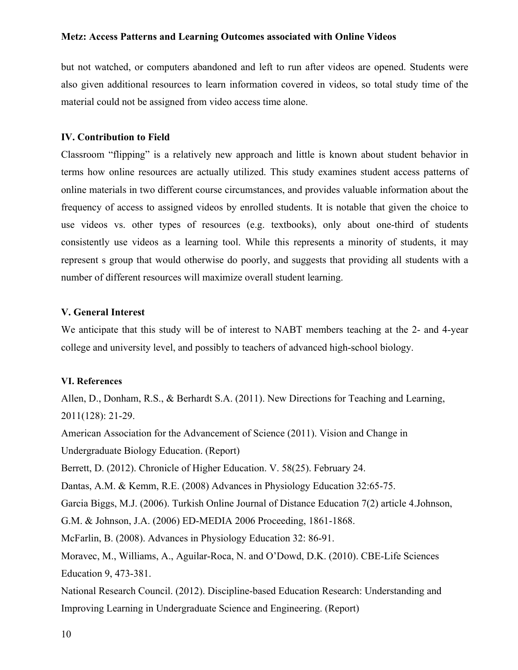but not watched, or computers abandoned and left to run after videos are opened. Students were also given additional resources to learn information covered in videos, so total study time of the material could not be assigned from video access time alone.

### **IV. Contribution to Field**

Classroom "flipping" is a relatively new approach and little is known about student behavior in terms how online resources are actually utilized. This study examines student access patterns of online materials in two different course circumstances, and provides valuable information about the frequency of access to assigned videos by enrolled students. It is notable that given the choice to use videos vs. other types of resources (e.g. textbooks), only about one-third of students consistently use videos as a learning tool. While this represents a minority of students, it may represent s group that would otherwise do poorly, and suggests that providing all students with a number of different resources will maximize overall student learning.

# **V. General Interest**

We anticipate that this study will be of interest to NABT members teaching at the 2- and 4-year college and university level, and possibly to teachers of advanced high-school biology.

## **VI. References**

Allen, D., Donham, R.S., & Berhardt S.A. (2011). New Directions for Teaching and Learning, 2011(128): 21-29.

American Association for the Advancement of Science (2011). Vision and Change in

Undergraduate Biology Education. (Report)

Berrett, D. (2012). Chronicle of Higher Education. V. 58(25). February 24.

Dantas, A.M. & Kemm, R.E. (2008) Advances in Physiology Education 32:65-75.

Garcia Biggs, M.J. (2006). Turkish Online Journal of Distance Education 7(2) article 4.Johnson,

G.M. & Johnson, J.A. (2006) ED-MEDIA 2006 Proceeding, 1861-1868.

McFarlin, B. (2008). Advances in Physiology Education 32: 86-91.

Moravec, M., Williams, A., Aguilar-Roca, N. and O'Dowd, D.K. (2010). CBE-Life Sciences Education 9, 473-381.

National Research Council. (2012). Discipline-based Education Research: Understanding and Improving Learning in Undergraduate Science and Engineering. (Report)